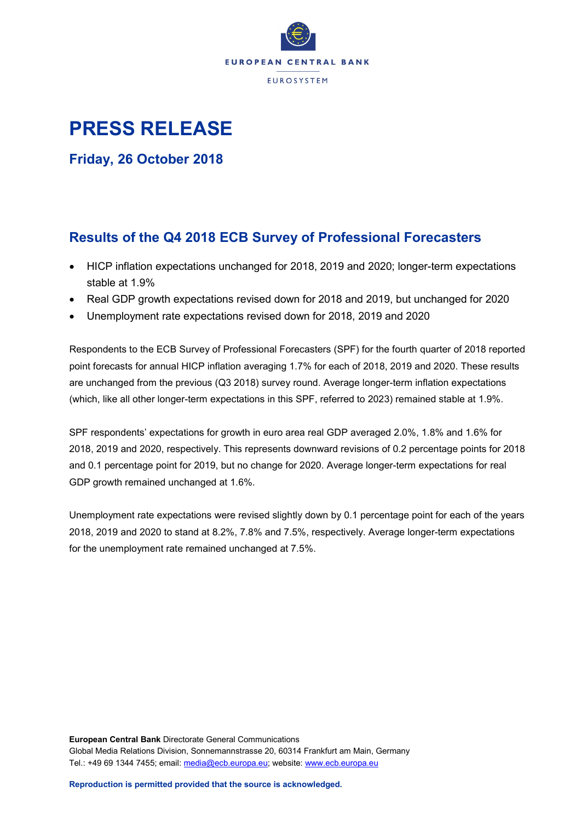

# **PRESS RELEASE**

**Friday, 26 October 2018**

# **Results of the Q4 2018 ECB Survey of Professional Forecasters**

- HICP inflation expectations unchanged for 2018, 2019 and 2020; longer-term expectations stable at 1.9%
- Real GDP growth expectations revised down for 2018 and 2019, but unchanged for 2020
- Unemployment rate expectations revised down for 2018, 2019 and 2020

Respondents to the ECB Survey of Professional Forecasters (SPF) for the fourth quarter of 2018 reported point forecasts for annual HICP inflation averaging 1.7% for each of 2018, 2019 and 2020. These results are unchanged from the previous (Q3 2018) survey round. Average longer-term inflation expectations (which, like all other longer-term expectations in this SPF, referred to 2023) remained stable at 1.9%.

SPF respondents' expectations for growth in euro area real GDP averaged 2.0%, 1.8% and 1.6% for 2018, 2019 and 2020, respectively. This represents downward revisions of 0.2 percentage points for 2018 and 0.1 percentage point for 2019, but no change for 2020. Average longer-term expectations for real GDP growth remained unchanged at 1.6%.

Unemployment rate expectations were revised slightly down by 0.1 percentage point for each of the years 2018, 2019 and 2020 to stand at 8.2%, 7.8% and 7.5%, respectively. Average longer-term expectations for the unemployment rate remained unchanged at 7.5%.